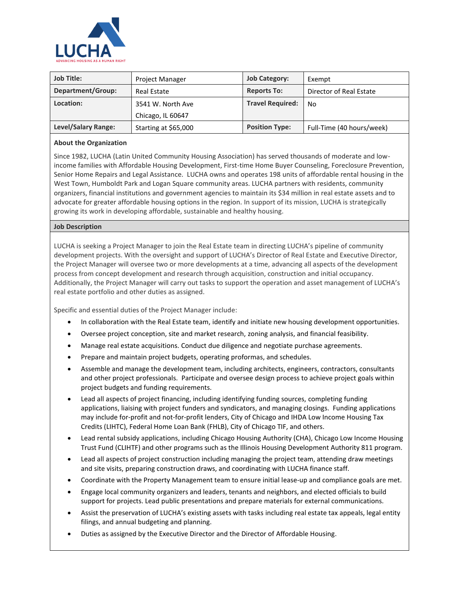

| <b>Job Title:</b>        | <b>Project Manager</b> | <b>Job Category:</b>    | Exempt                    |
|--------------------------|------------------------|-------------------------|---------------------------|
| <b>Department/Group:</b> | <b>Real Estate</b>     | <b>Reports To:</b>      | Director of Real Estate   |
| Location:                | 3541 W. North Ave      | <b>Travel Required:</b> | No                        |
|                          | Chicago, IL 60647      |                         |                           |
| Level/Salary Range:      | Starting at \$65,000   | <b>Position Type:</b>   | Full-Time (40 hours/week) |

## **About the Organization**

Since 1982, LUCHA (Latin United Community Housing Association) has served thousands of moderate and lowincome families with Affordable Housing Development, First-time Home Buyer Counseling, Foreclosure Prevention, Senior Home Repairs and Legal Assistance. LUCHA owns and operates 198 units of affordable rental housing in the West Town, Humboldt Park and Logan Square community areas. LUCHA partners with residents, community organizers, financial institutions and government agencies to maintain its \$34 million in real estate assets and to advocate for greater affordable housing options in the region. In support of its mission, LUCHA is strategically growing its work in developing affordable, sustainable and healthy housing.

## **Job Description**

LUCHA is seeking a Project Manager to join the Real Estate team in directing LUCHA's pipeline of community development projects. With the oversight and support of LUCHA's Director of Real Estate and Executive Director, the Project Manager will oversee two or more developments at a time, advancing all aspects of the development process from concept development and research through acquisition, construction and initial occupancy. Additionally, the Project Manager will carry out tasks to support the operation and asset management of LUCHA's real estate portfolio and other duties as assigned.

Specific and essential duties of the Project Manager include:

- In collaboration with the Real Estate team, identify and initiate new housing development opportunities.
- Oversee project conception, site and market research, zoning analysis, and financial feasibility.
- Manage real estate acquisitions. Conduct due diligence and negotiate purchase agreements.
- Prepare and maintain project budgets, operating proformas, and schedules.
- Assemble and manage the development team, including architects, engineers, contractors, consultants and other project professionals. Participate and oversee design process to achieve project goals within project budgets and funding requirements.
- Lead all aspects of project financing, including identifying funding sources, completing funding applications, liaising with project funders and syndicators, and managing closings. Funding applications may include for-profit and not-for-profit lenders, City of Chicago and IHDA Low Income Housing Tax Credits (LIHTC), Federal Home Loan Bank (FHLB), City of Chicago TIF, and others.
- Lead rental subsidy applications, including Chicago Housing Authority (CHA), Chicago Low Income Housing Trust Fund (CLIHTF) and other programs such as the Illinois Housing Development Authority 811 program.
- Lead all aspects of project construction including managing the project team, attending draw meetings and site visits, preparing construction draws, and coordinating with LUCHA finance staff.
- Coordinate with the Property Management team to ensure initial lease-up and compliance goals are met.
- Engage local community organizers and leaders, tenants and neighbors, and elected officials to build support for projects. Lead public presentations and prepare materials for external communications.
- Assist the preservation of LUCHA's existing assets with tasks including real estate tax appeals, legal entity filings, and annual budgeting and planning.
- Duties as assigned by the Executive Director and the Director of Affordable Housing.